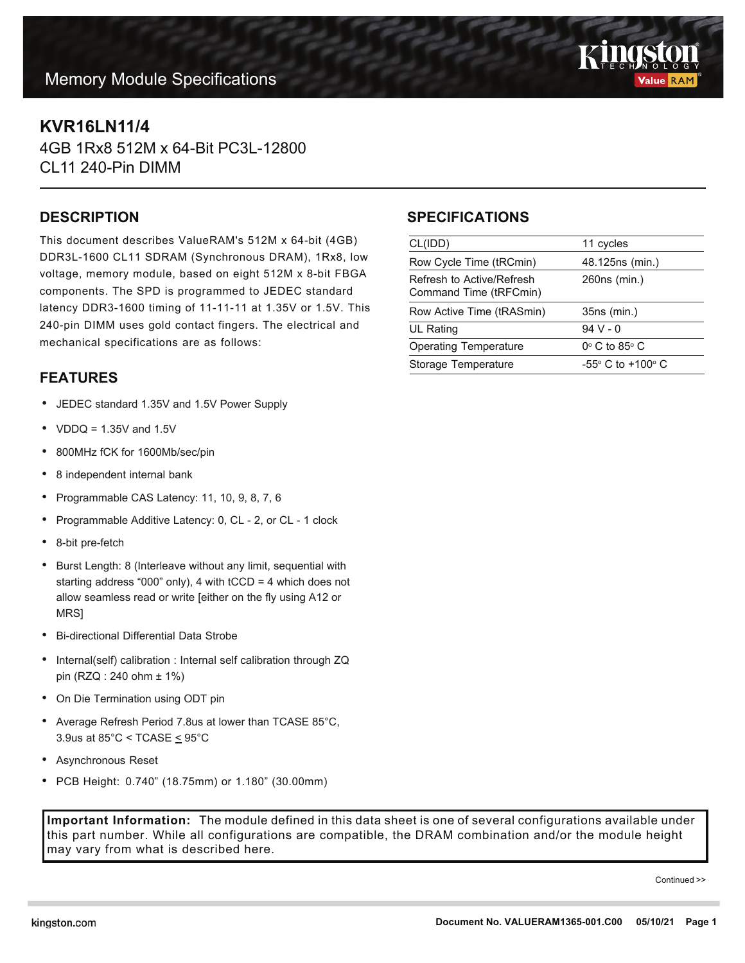# **Memory Module Specifications**



## **KVR16LN11/4**

4GB 1Rx8 512M x 64-Bit PC3L-12800 CL11 240-Pin DIMM

#### **DESCRIPTION**

This document describes ValueRAM's 512M x 64-bit (4GB) DDR3L-1600 CL11 SDRAM (Synchronous DRAM), 1Rx8, low voltage, memory module, based on eight 512M x 8-bit FBGA components. The SPD is programmed to JEDEC standard latency DDR3-1600 timing of 11-11-11 at 1.35V or 1.5V. This 240-pin DIMM uses gold contact fingers. The electrical and mechanical specifications are as follows:

### **FEATURES**

- JEDEC standard 1.35V and 1.5V Power Supply
- $VDDQ = 1.35V$  and  $1.5V$
- 800MHz fCK for 1600Mb/sec/pin
- 8 independent internal bank
- Programmable CAS Latency: 11, 10, 9, 8, 7, 6
- Programmable Additive Latency: 0, CL 2, or CL 1 clock
- 8-bit pre-fetch
- Burst Length: 8 (Interleave without any limit, sequential with starting address "000" only), 4 with tCCD = 4 which does not allow seamless read or write [either on the fly using A12 or MRS]
- Bi-directional Differential Data Strobe
- Internal(self) calibration : Internal self calibration through ZQ pin (RZQ : 240 ohm ± 1%)
- On Die Termination using ODT pin
- Average Refresh Period 7.8us at lower than TCASE 85°C, 3.9us at 85°C < TCASE < 95°C
- Asynchronous Reset
- PCB Height: 0.740" (18.75mm) or 1.180" (30.00mm)

may vary from what is described here.

**Important Information:** The module defined in this data sheet is one of several configurations available under this part number. While all configurations are compatible, the DRAM combination and/or the module height

## **SPECIFICATIONS**

| CL(IDD)                                             | 11 cycles                           |
|-----------------------------------------------------|-------------------------------------|
| Row Cycle Time (tRCmin)                             | 48.125ns (min.)                     |
| Refresh to Active/Refresh<br>Command Time (tRFCmin) | 260ns (min.)                        |
| Row Active Time (tRASmin)                           | 35ns (min.)                         |
| <b>UL Rating</b>                                    | $94V - 0$                           |
| <b>Operating Temperature</b>                        | $0^\circ$ C to 85 $^\circ$ C        |
| Storage Temperature                                 | $-55^{\circ}$ C to $+100^{\circ}$ C |

Continued >>